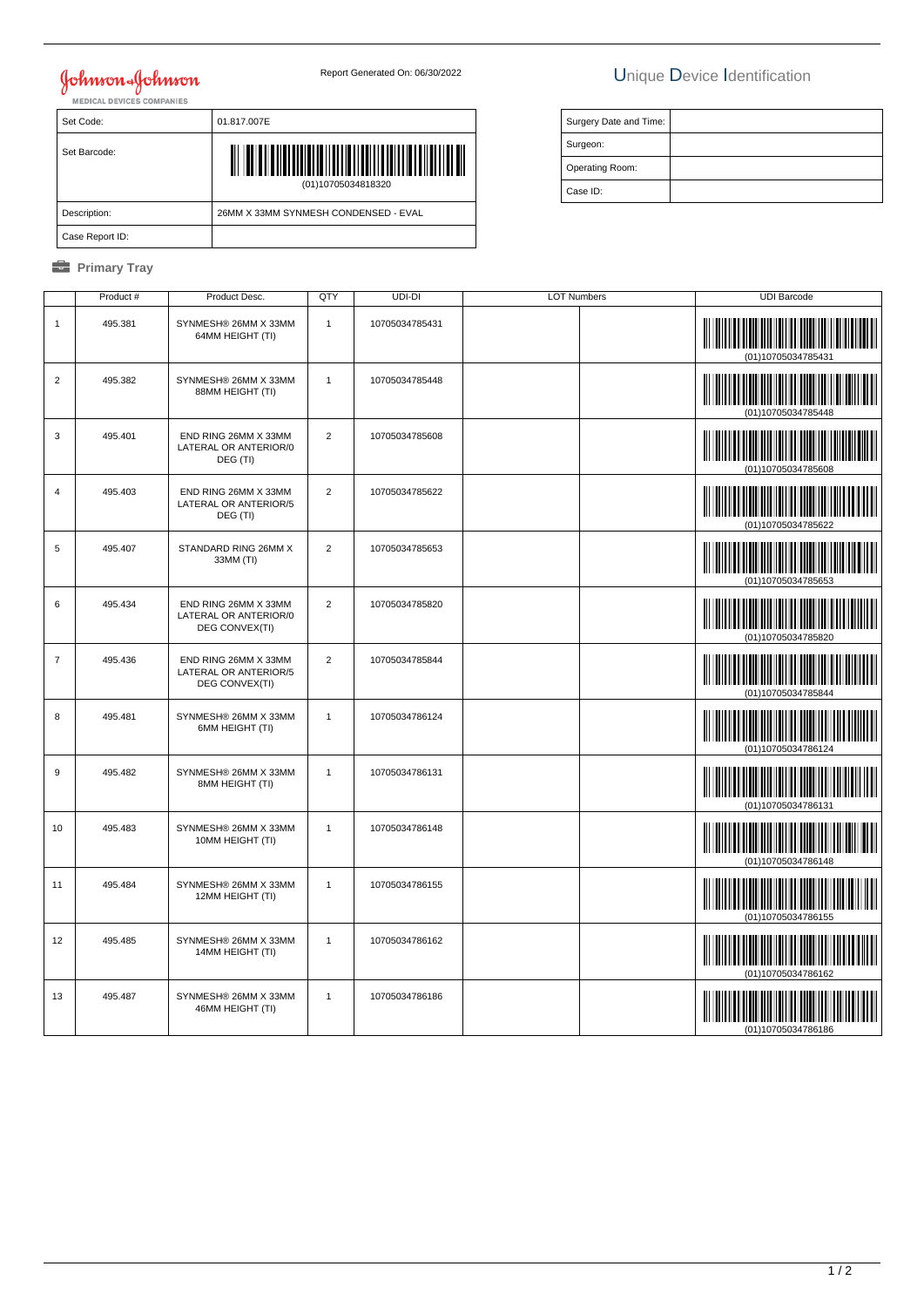# **Johnson & Johnson**

Set Code: 01.817.007E

## Report Generated On: 06/30/2022 Unique Device Identification

| Surgery Date and Time: |  |
|------------------------|--|
| Surgeon:               |  |
| Operating Room:        |  |
| Case ID:               |  |

| Set Barcode:    | (01)10705034818320                   |
|-----------------|--------------------------------------|
| Description:    | 26MM X 33MM SYNMESH CONDENSED - EVAL |
| Case Report ID: |                                      |

### *<u><b>* Primary Tray</u>

|                | Product # | Product Desc.                                                   | QTY            | UDI-DI         | <b>LOT Numbers</b> | <b>UDI Barcode</b>                                               |
|----------------|-----------|-----------------------------------------------------------------|----------------|----------------|--------------------|------------------------------------------------------------------|
| $\mathbf{1}$   | 495.381   | SYNMESH® 26MM X 33MM<br>64MM HEIGHT (TI)                        | $\mathbf{1}$   | 10705034785431 |                    | (01)10705034785431                                               |
| $\overline{c}$ | 495.382   | SYNMESH® 26MM X 33MM<br>88MM HEIGHT (TI)                        | $\mathbf{1}$   | 10705034785448 |                    | (01)10705034785448                                               |
| 3              | 495.401   | END RING 26MM X 33MM<br>LATERAL OR ANTERIOR/0<br>DEG (TI)       | $\overline{2}$ | 10705034785608 |                    | (01)10705034785608                                               |
| $\overline{4}$ | 495.403   | END RING 26MM X 33MM<br>LATERAL OR ANTERIOR/5<br>DEG (TI)       | 2              | 10705034785622 |                    | (01)10705034785622                                               |
| 5              | 495.407   | STANDARD RING 26MM X<br>33MM (TI)                               | $\overline{2}$ | 10705034785653 |                    | (01)10705034785653                                               |
| 6              | 495.434   | END RING 26MM X 33MM<br>LATERAL OR ANTERIOR/0<br>DEG CONVEX(TI) | $\overline{2}$ | 10705034785820 |                    | <u> III martin ma'lumot</u><br>(01)10705034785820                |
| $\overline{7}$ | 495.436   | END RING 26MM X 33MM<br>LATERAL OR ANTERIOR/5<br>DEG CONVEX(TI) | $\overline{2}$ | 10705034785844 |                    | (01)10705034785844                                               |
| 8              | 495.481   | SYNMESH® 26MM X 33MM<br>6MM HEIGHT (TI)                         | $\mathbf{1}$   | 10705034786124 |                    | (01)10705034786124                                               |
| 9              | 495.482   | SYNMESH® 26MM X 33MM<br>8MM HEIGHT (TI)                         | $\mathbf{1}$   | 10705034786131 |                    | (01)10705034786131                                               |
| 10             | 495.483   | SYNMESH® 26MM X 33MM<br>10MM HEIGHT (TI)                        | $\overline{1}$ | 10705034786148 |                    | (01)10705034786148                                               |
| 11             | 495.484   | SYNMESH® 26MM X 33MM<br>12MM HEIGHT (TI)                        | $\mathbf{1}$   | 10705034786155 |                    | (01)10705034786155                                               |
| 12             | 495.485   | SYNMESH® 26MM X 33MM<br>14MM HEIGHT (TI)                        | $\mathbf{1}$   | 10705034786162 |                    | <u> III Milliam III M</u><br>(01)10705034786162                  |
| 13             | 495.487   | SYNMESH® 26MM X 33MM<br>46MM HEIGHT (TI)                        | $\mathbf{1}$   | 10705034786186 |                    | <u> III III III III III III III III II</u><br>(01)10705034786186 |